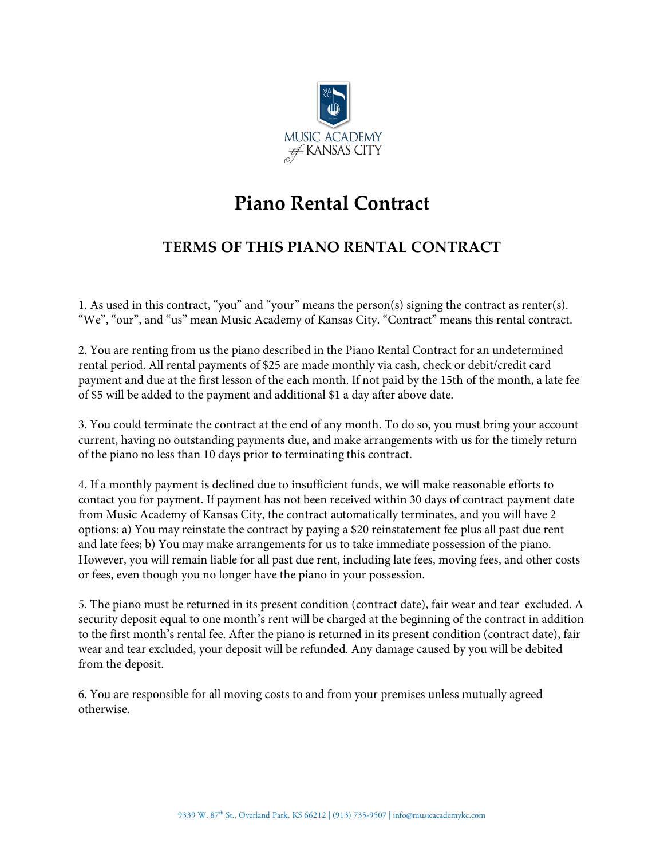

## **Piano Rental Contract**

## **TERMS OF THIS PIANO RENTAL CONTRACT**

1. As used in this contract, "you" and "your" means the person(s) signing the contract as renter(s). "We", "our", and "us" mean Music Academy of Kansas City. "Contract" means this rental contract.

2. You are renting from us the piano described in the Piano Rental Contract for an undetermined rental period. All rental payments of \$25 are made monthly via cash, check or debit/credit card payment and due at the first lesson of the each month. If not paid by the 15th of the month, a late fee of \$5 will be added to the payment and additional \$1 a day after above date.

3. You could terminate the contract at the end of any month. To do so, you must bring your account current, having no outstanding payments due, and make arrangements with us for the timely return of the piano no less than 10 days prior to terminating this contract.

4. If a monthly payment is declined due to insufficient funds, we will make reasonable efforts to contact you for payment. If payment has not been received within 30 days of contract payment date from Music Academy of Kansas City, the contract automatically terminates, and you will have 2 options: a) You may reinstate the contract by paying a \$20 reinstatement fee plus all past due rent and late fees; b) You may make arrangements for us to take immediate possession of the piano. However, you will remain liable for all past due rent, including late fees, moving fees, and other costs or fees, even though you no longer have the piano in your possession.

5. The piano must be returned in its present condition (contract date), fair wear and tear excluded. A security deposit equal to one month's rent will be charged at the beginning of the contract in addition to the first month's rental fee. After the piano is returned in its present condition (contract date), fair wear and tear excluded, your deposit will be refunded. Any damage caused by you will be debited from the deposit.

6. You are responsible for all moving costs to and from your premises unless mutually agreed otherwise.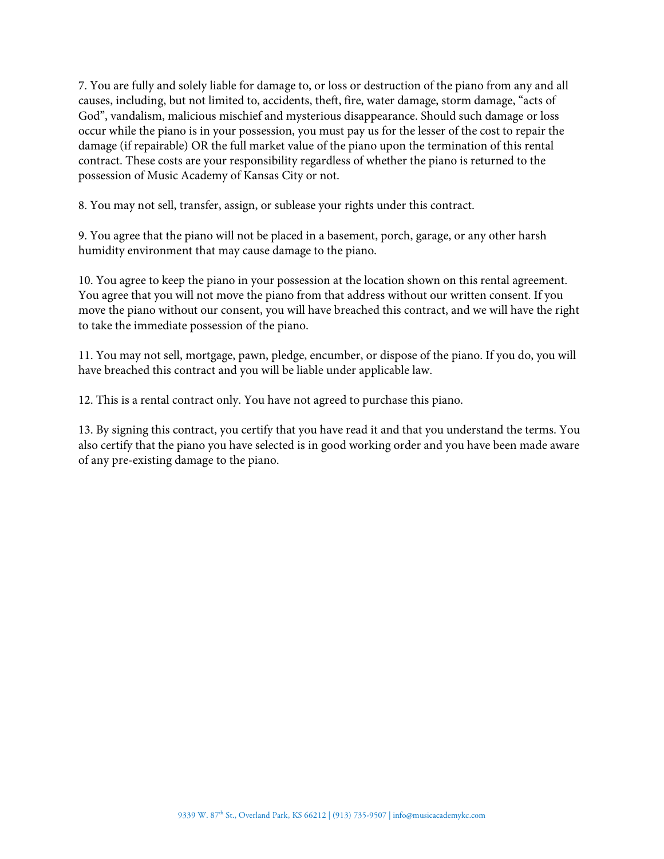7. You are fully and solely liable for damage to, or loss or destruction of the piano from any and all causes, including, but not limited to, accidents, theft, fire, water damage, storm damage, "acts of God", vandalism, malicious mischief and mysterious disappearance. Should such damage or loss occur while the piano is in your possession, you must pay us for the lesser of the cost to repair the damage (if repairable) OR the full market value of the piano upon the termination of this rental contract. These costs are your responsibility regardless of whether the piano is returned to the possession of Music Academy of Kansas City or not.

8. You may not sell, transfer, assign, or sublease your rights under this contract.

9. You agree that the piano will not be placed in a basement, porch, garage, or any other harsh humidity environment that may cause damage to the piano.

10. You agree to keep the piano in your possession at the location shown on this rental agreement. You agree that you will not move the piano from that address without our written consent. If you move the piano without our consent, you will have breached this contract, and we will have the right to take the immediate possession of the piano.

11. You may not sell, mortgage, pawn, pledge, encumber, or dispose of the piano. If you do, you will have breached this contract and you will be liable under applicable law.

12. This is a rental contract only. You have not agreed to purchase this piano.

13. By signing this contract, you certify that you have read it and that you understand the terms. You also certify that the piano you have selected is in good working order and you have been made aware of any pre-existing damage to the piano.